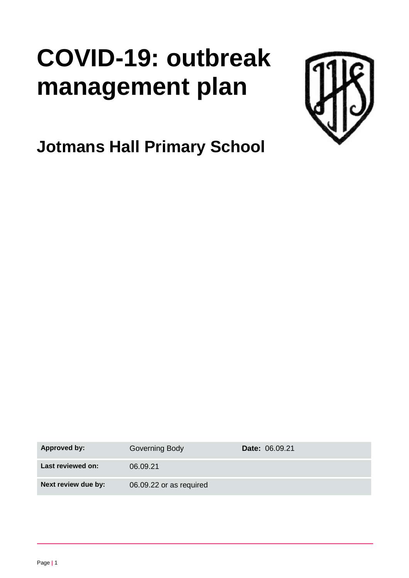# **COVID-19: outbreak management plan**



**Jotmans Hall Primary School**

| <b>Approved by:</b> | Governing Body          | <b>Date: 06.09.21</b> |
|---------------------|-------------------------|-----------------------|
| Last reviewed on:   | 06.09.21                |                       |
| Next review due by: | 06.09.22 or as required |                       |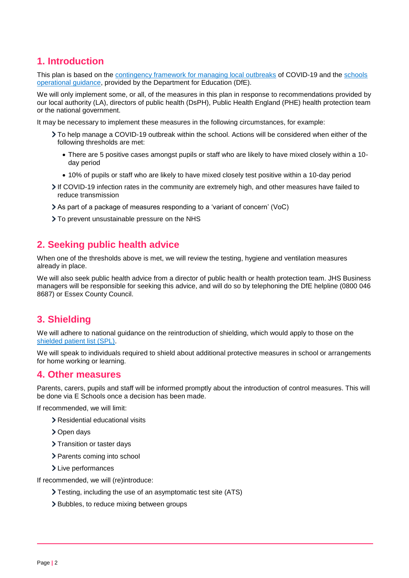# **1. Introduction**

This plan is based on the [contingency framework for managing local outbreaks](https://www.gov.uk/government/publications/coronavirus-covid-19-local-restrictions-in-education-and-childcare-settings) of COVID-19 and the [schools](https://www.gov.uk/government/publications/actions-for-schools-during-the-coronavirus-outbreak)  [operational guidance,](https://www.gov.uk/government/publications/actions-for-schools-during-the-coronavirus-outbreak) provided by the Department for Education (DfE).

We will only implement some, or all, of the measures in this plan in response to recommendations provided by our local authority (LA), directors of public health (DsPH), Public Health England (PHE) health protection team or the national government.

It may be necessary to implement these measures in the following circumstances, for example:

- To help manage a COVID-19 outbreak within the school. Actions will be considered when either of the following thresholds are met:
	- There are 5 positive cases amongst pupils or staff who are likely to have mixed closely within a 10 day period
	- 10% of pupils or staff who are likely to have mixed closely test positive within a 10-day period
- If COVID-19 infection rates in the community are extremely high, and other measures have failed to reduce transmission
- As part of a package of measures responding to a 'variant of concern' (VoC)
- > To prevent unsustainable pressure on the NHS

## **2. Seeking public health advice**

When one of the thresholds above is met, we will review the testing, hygiene and ventilation measures already in place.

We will also seek public health advice from a director of public health or health protection team. JHS Business managers will be responsible for seeking this advice, and will do so by telephoning the DfE helpline (0800 046 8687) or Essex County Council.

## **3. Shielding**

We will adhere to national guidance on the reintroduction of shielding, which would apply to those on the [shielded patient list \(SPL\).](https://digital.nhs.uk/coronavirus/shielded-patient-list)

We will speak to individuals required to shield about additional protective measures in school or arrangements for home working or learning.

### **4. Other measures**

Parents, carers, pupils and staff will be informed promptly about the introduction of control measures. This will be done via E Schools once a decision has been made.

If recommended, we will limit:

- > Residential educational visits
- > Open days
- > Transition or taster days
- > Parents coming into school
- > Live performances

If recommended, we will (re)introduce:

- Testing, including the use of an asymptomatic test site (ATS)
- > Bubbles, to reduce mixing between groups